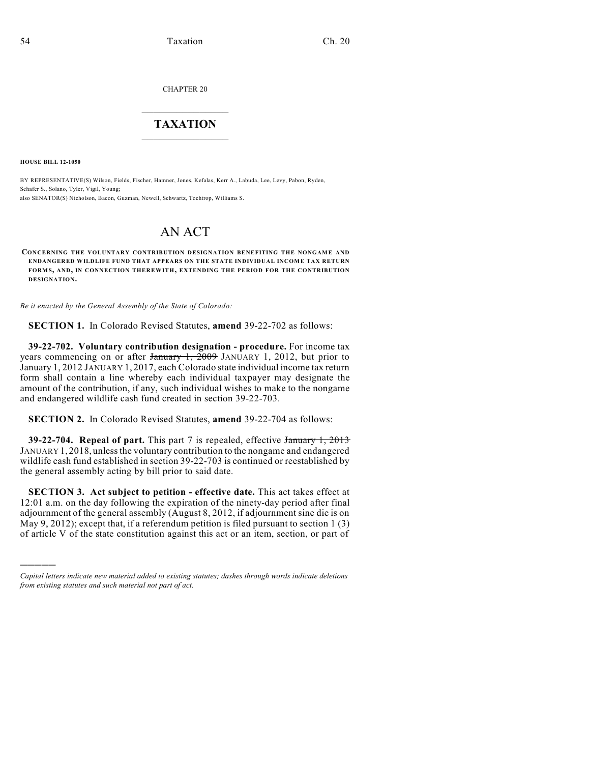CHAPTER 20

## $\overline{\phantom{a}}$  . The set of the set of the set of the set of the set of the set of the set of the set of the set of the set of the set of the set of the set of the set of the set of the set of the set of the set of the set o **TAXATION**  $\_$

**HOUSE BILL 12-1050**

)))))

BY REPRESENTATIVE(S) Wilson, Fields, Fischer, Hamner, Jones, Kefalas, Kerr A., Labuda, Lee, Levy, Pabon, Ryden, Schafer S., Solano, Tyler, Vigil, Young; also SENATOR(S) Nicholson, Bacon, Guzman, Newell, Schwartz, Tochtrop, Williams S.

## AN ACT

**CONCERNING THE VOLUNTARY CONTRIBUTION DESIGNATION BENEFITING THE NONGAME AND ENDANGERED WILDLIFE FUND THAT APPEARS ON THE STATE INDIVIDUAL INCOME TAX RETURN FORMS, AND, IN CONNECTION THEREWITH, EXTENDING THE PERIOD FOR THE CONTRIBUTION DESIGNATION.**

*Be it enacted by the General Assembly of the State of Colorado:*

**SECTION 1.** In Colorado Revised Statutes, **amend** 39-22-702 as follows:

**39-22-702. Voluntary contribution designation - procedure.** For income tax years commencing on or after  $\frac{1}{2009}$  JANUARY 1, 2012, but prior to January 1, 2012 JANUARY 1, 2017, each Colorado state individual income tax return form shall contain a line whereby each individual taxpayer may designate the amount of the contribution, if any, such individual wishes to make to the nongame and endangered wildlife cash fund created in section 39-22-703.

**SECTION 2.** In Colorado Revised Statutes, **amend** 39-22-704 as follows:

**39-22-704. Repeal of part.** This part 7 is repealed, effective January 1, 2013 JANUARY 1, 2018, unless the voluntary contribution to the nongame and endangered wildlife cash fund established in section 39-22-703 is continued or reestablished by the general assembly acting by bill prior to said date.

**SECTION 3. Act subject to petition - effective date.** This act takes effect at 12:01 a.m. on the day following the expiration of the ninety-day period after final adjournment of the general assembly (August 8, 2012, if adjournment sine die is on May 9, 2012); except that, if a referendum petition is filed pursuant to section 1 (3) of article V of the state constitution against this act or an item, section, or part of

*Capital letters indicate new material added to existing statutes; dashes through words indicate deletions from existing statutes and such material not part of act.*